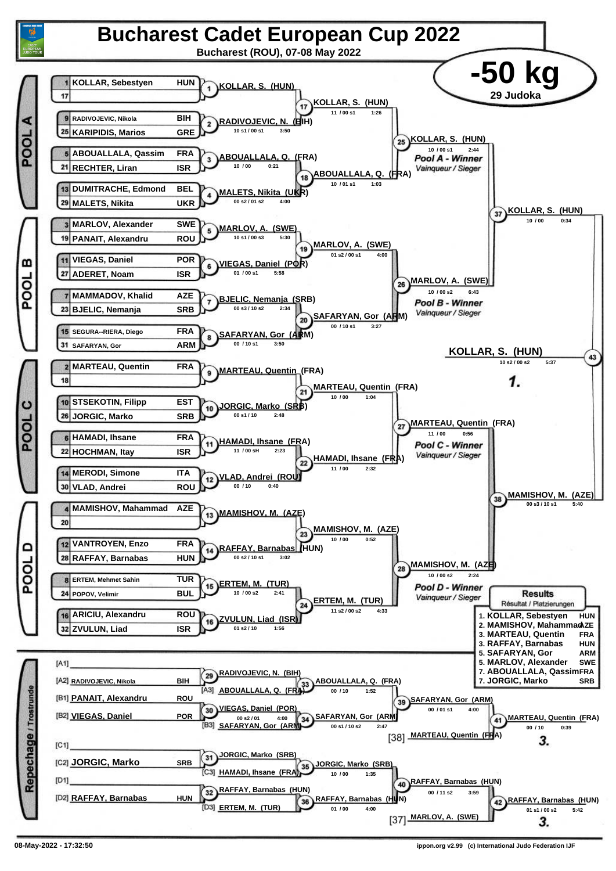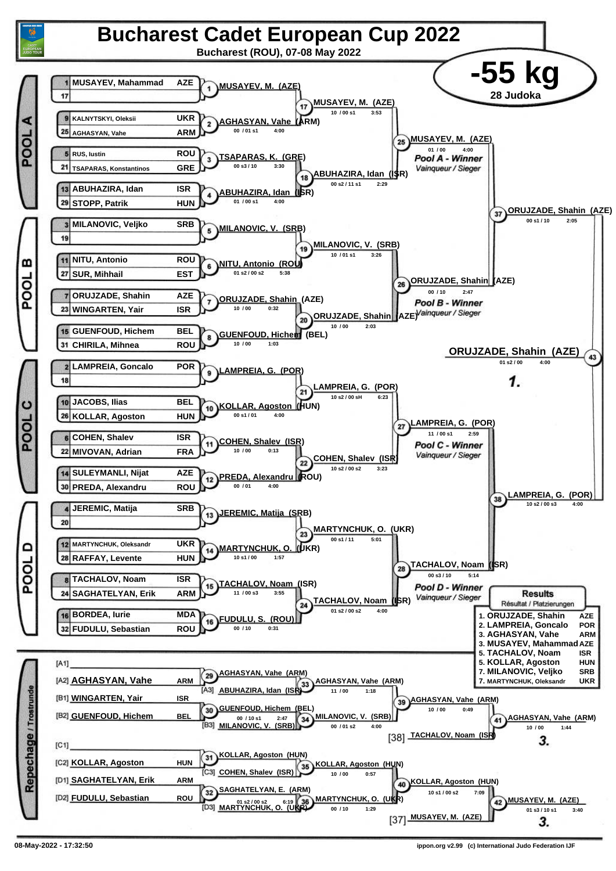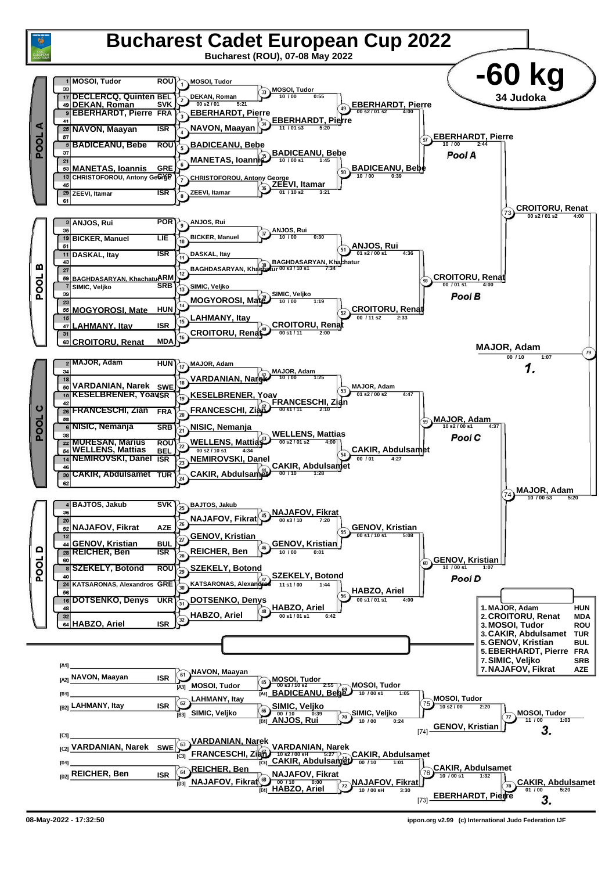

**<sup>08-</sup>May-2022 - 17:32:50 ippon.org v2.99 (c) International Judo Federation IJF**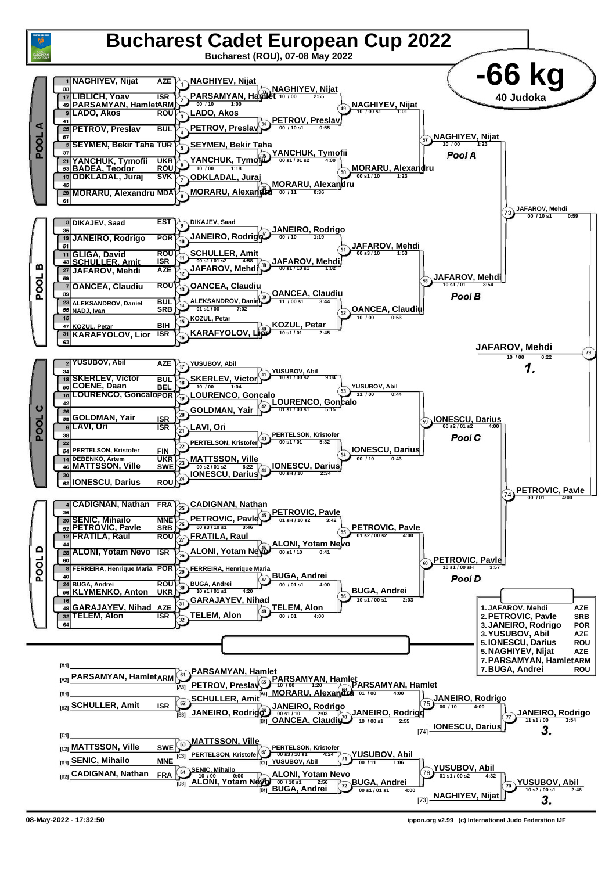

**<sup>08-</sup>May-2022 - 17:32:50 ippon.org v2.99 (c) International Judo Federation IJF**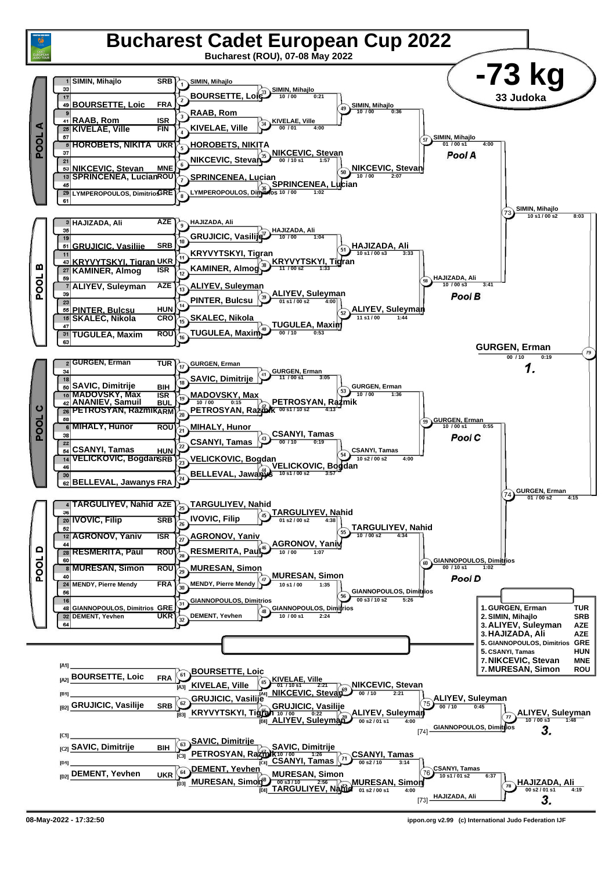

**<sup>08-</sup>May-2022 - 17:32:50 ippon.org v2.99 (c) International Judo Federation IJF**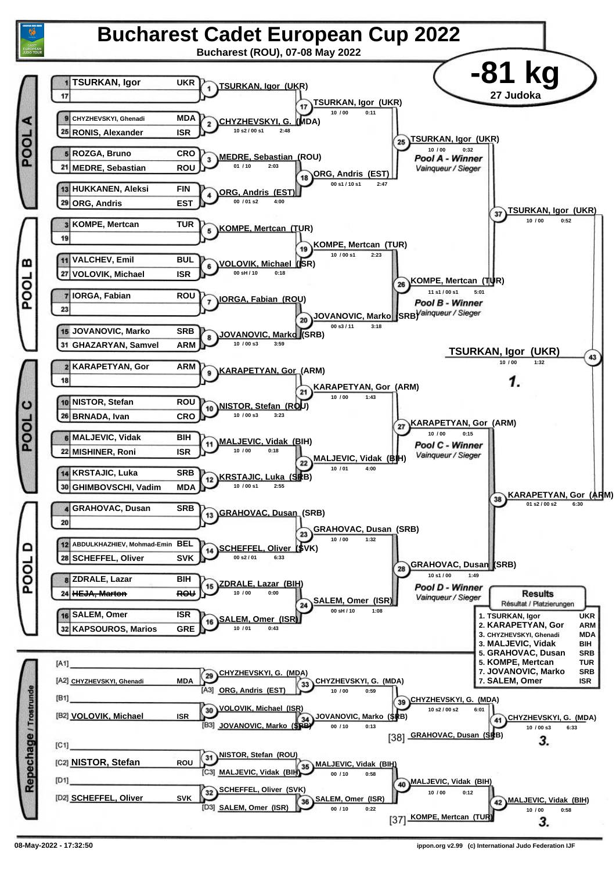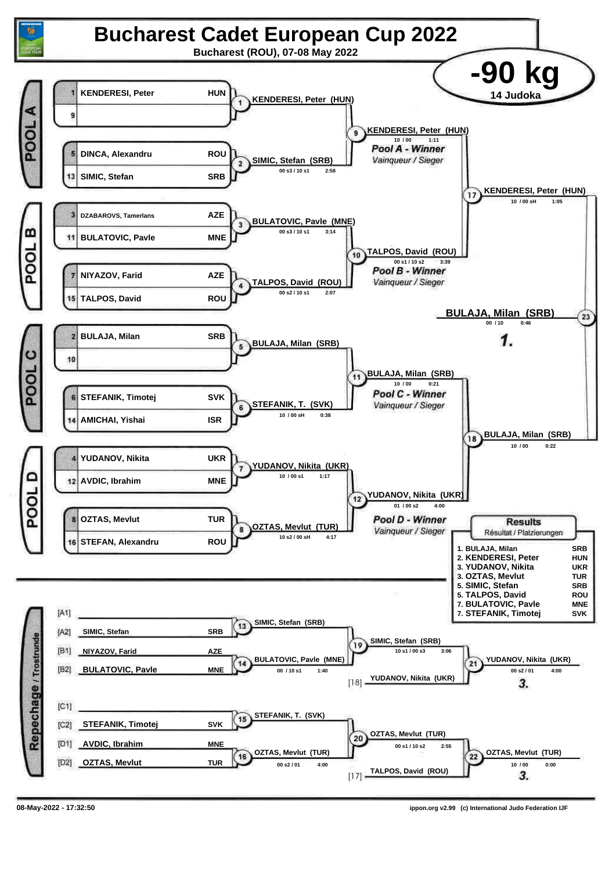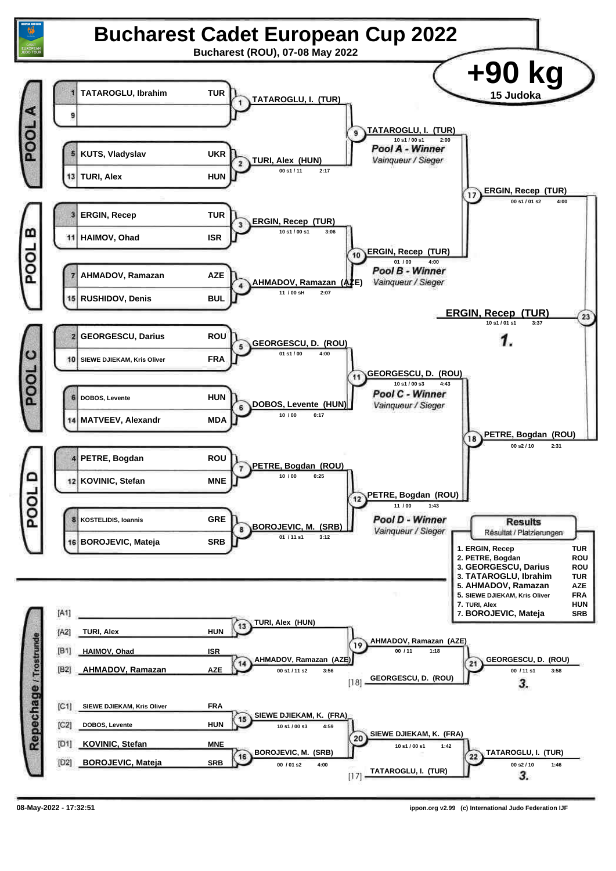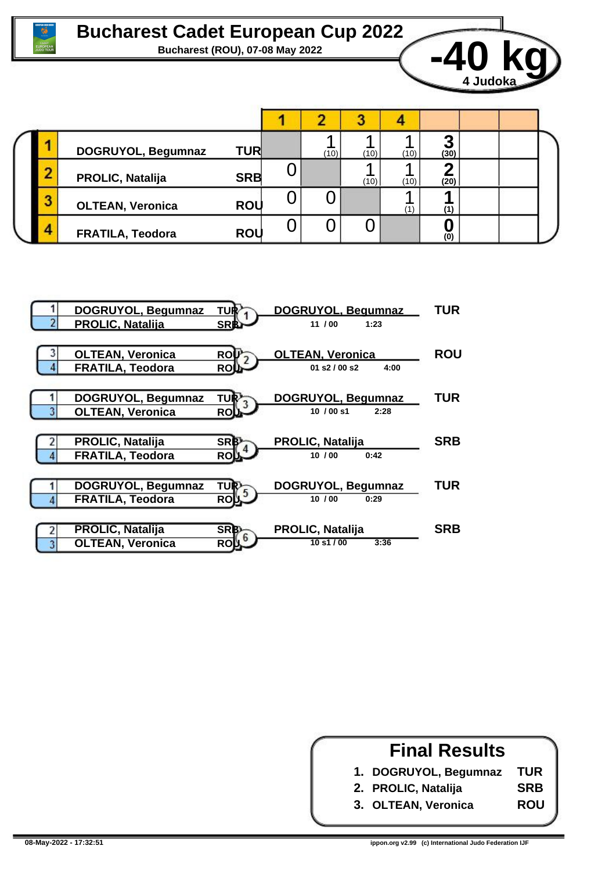



|  |   | DOGRUYOL, Begumnaz      | <b>TUR</b> |   | (10) | (10) | (10) | (30)       |  |  |  |
|--|---|-------------------------|------------|---|------|------|------|------------|--|--|--|
|  | ╌ | <b>PROLIC, Natalija</b> | <b>SRB</b> |   |      | (10) | (10) | (20)       |  |  |  |
|  |   | <b>OLTEAN, Veronica</b> | <b>ROU</b> | ◡ |      |      | (1)  |            |  |  |  |
|  | Δ | <b>FRATILA, Teodora</b> | <b>ROU</b> |   |      |      |      | $\bar{10}$ |  |  |  |



## **Final Results 1. DOGRUYOL, Begumnaz 2. PROLIC, Natalija 3. OLTEAN, Veronica TUR SRB ROU**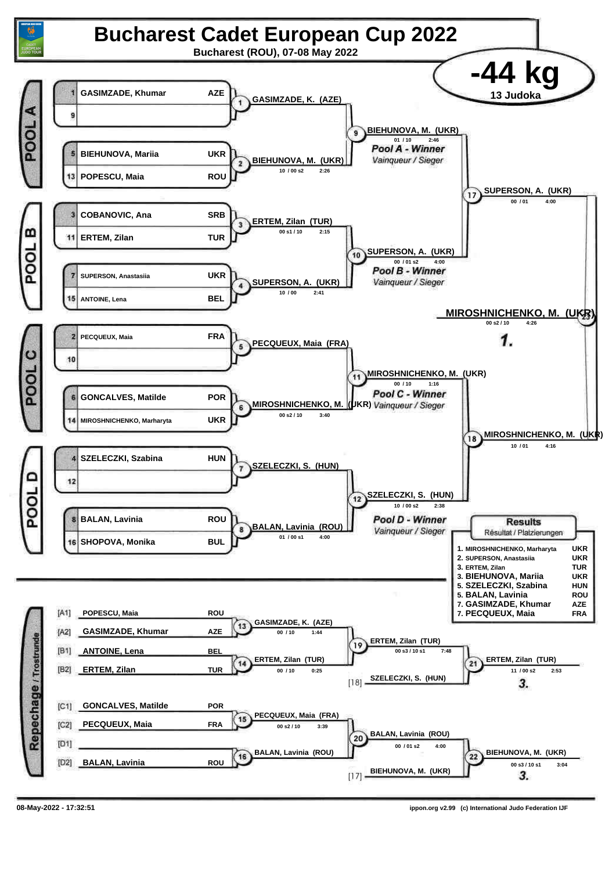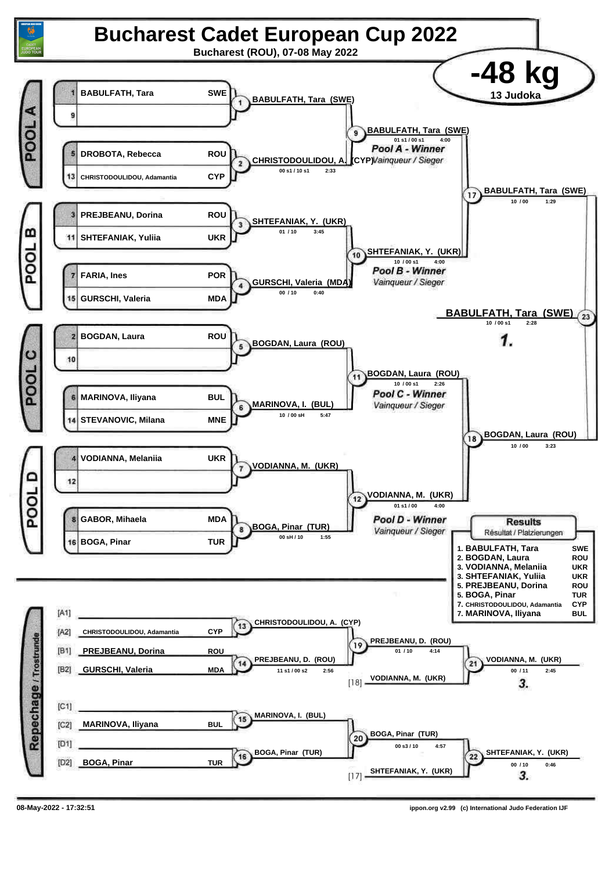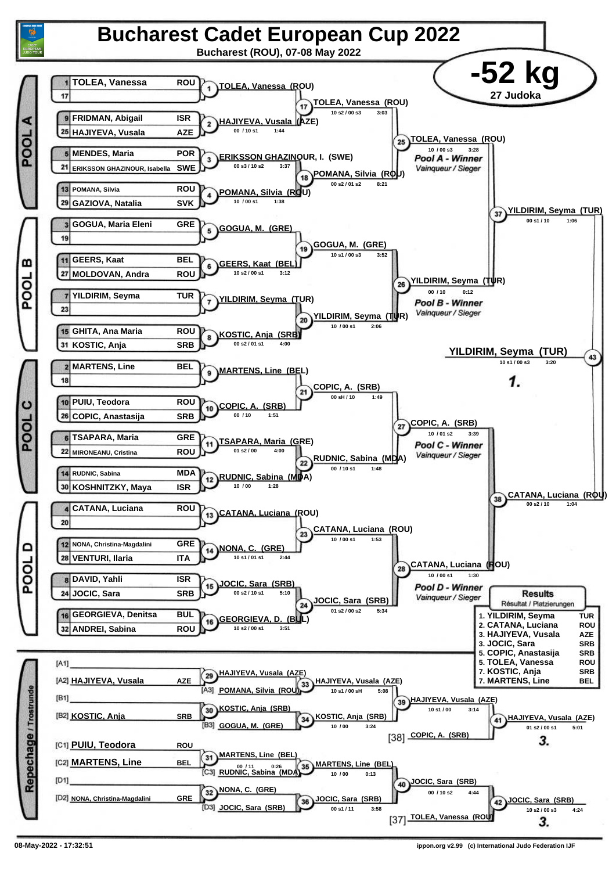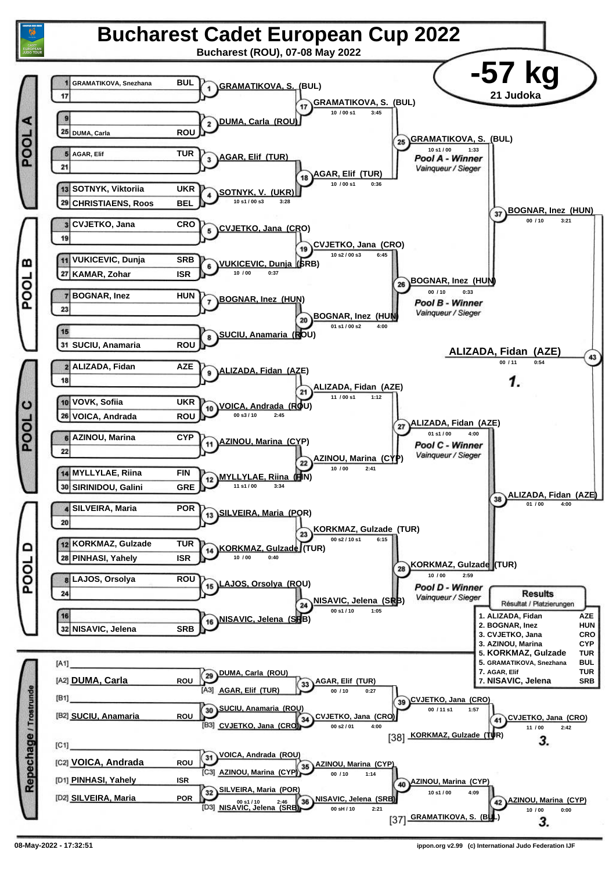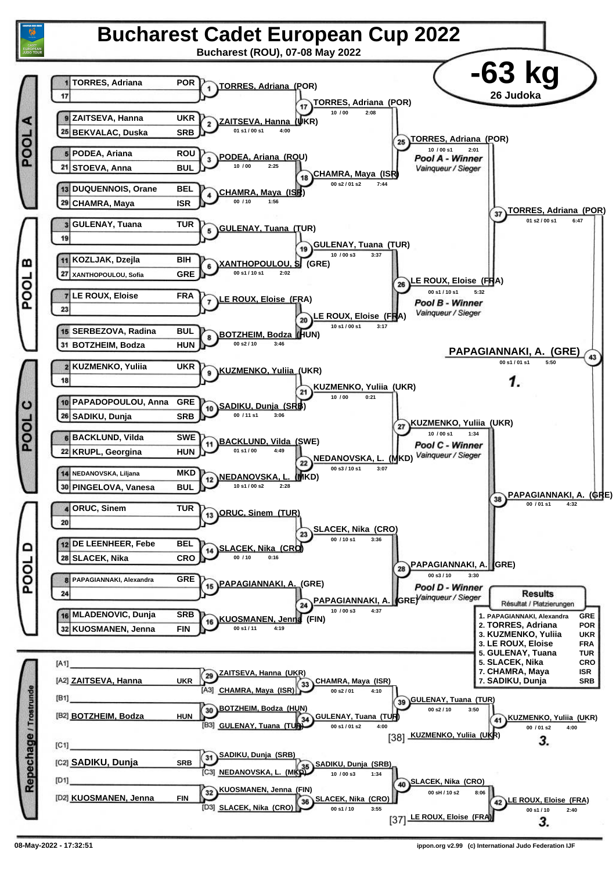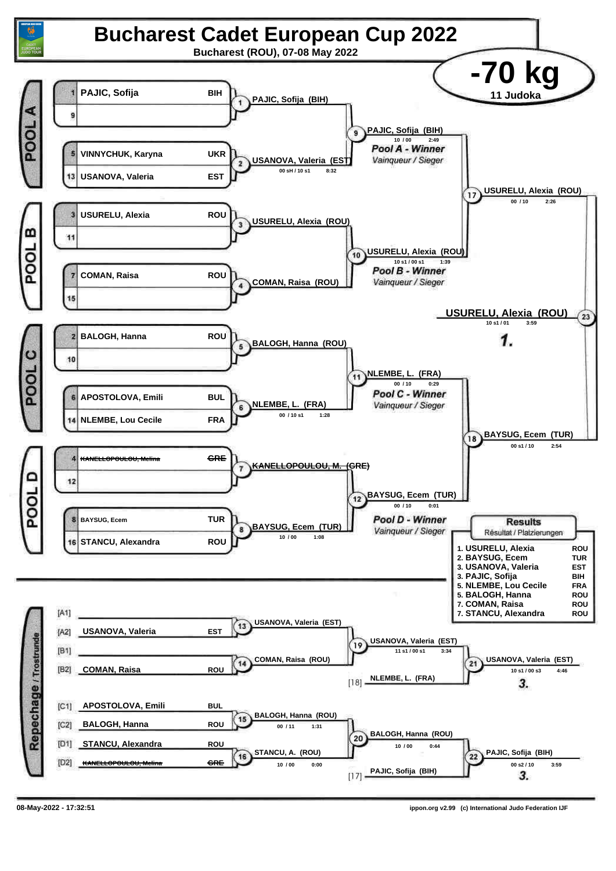